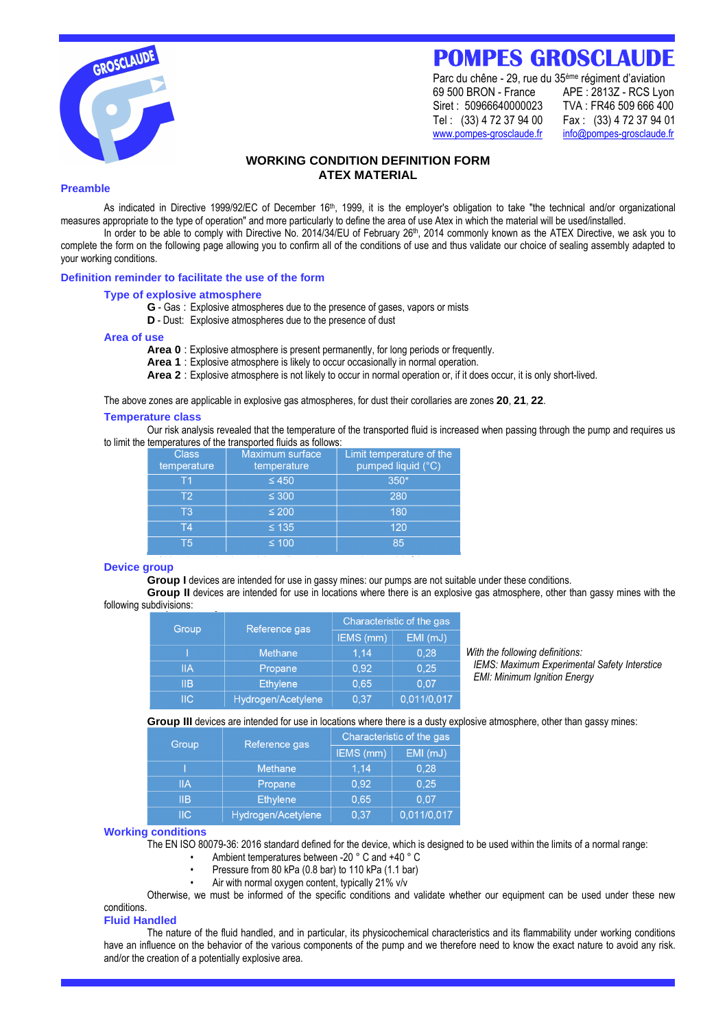

# **POMPES GROSCLAUDE**

Parc du chêne - 29, rue du 35ème régiment d'aviation 69 500 BRON - France APE : 2813Z - RCS Lyon Siret : 50966640000023 TVA : FR46 509 666 400 Tel : (33) 4 72 37 94 00 Fax : (33) 4 72 37 94 01 www.pompes-grosclaude.fr info@pompes-grosclaude.fr

# **WORKING CONDITION DEFINITION FORM ATEX MATERIAL**

## **Preamble**

As indicated in Directive 1999/92/EC of December 16<sup>th</sup>, 1999, it is the employer's obligation to take "the technical and/or organizational measures appropriate to the type of operation" and more particularly to define the area of use Atex in which the material will be used/installed.

In order to be able to comply with Directive No. 2014/34/EU of February 26<sup>th</sup>, 2014 commonly known as the ATEX Directive, we ask you to complete the form on the following page allowing you to confirm all of the conditions of use and thus validate our choice of sealing assembly adapted to your working conditions.

# **Definition reminder to facilitate the use of the form**

### **Type of explosive atmosphere**

- **G** Gas : Explosive atmospheres due to the presence of gases, vapors or mists
- **D** Dust: Explosive atmospheres due to the presence of dust

#### **Area of use**

**Area 0** : Explosive atmosphere is present permanently, for long periods or frequently.

- **Area 1** : Explosive atmosphere is likely to occur occasionally in normal operation.
- **Area 2** : Explosive atmosphere is not likely to occur in normal operation or, if it does occur, it is only short-lived.

The above zones are applicable in explosive gas atmospheres, for dust their corollaries are zones **20**, **21**, **22**.

#### **Temperature class**

Our risk analysis revealed that the temperature of the transported fluid is increased when passing through the pump and requires us to limit the temperatures of the transported fluids as follows:

| <b>Class</b><br>temperature | Maximum surface<br>temperature | Limit temperature of the<br>pumped liquid (°C) |
|-----------------------------|--------------------------------|------------------------------------------------|
| Т1                          | $\leq 450$                     | $350*$                                         |
| T <sub>2</sub>              | $\leq 300$                     | 280                                            |
| T3                          | $\leq 200$                     | 180                                            |
| T4                          | $\leq 135$                     | 120                                            |
| Τ5                          | $\leq 100$                     | 85                                             |

#### **Device group**

**Group I** devices are intended for use in gassy mines: our pumps are not suitable under these conditions.

**Group II** devices are intended for use in locations where there is an explosive gas atmosphere, other than gassy mines with the following subdivisions:

| Group                     | Reference gas      | Characteristic of the gas |             |                   |
|---------------------------|--------------------|---------------------------|-------------|-------------------|
|                           |                    | IEMS (mm)                 | EMI (mJ)    |                   |
|                           | <b>Methane</b>     | 1.14                      | 0,28        | With the foll     |
| <b>IIA</b>                | Propane            | 0.92                      | 0.25        | IEMS: Max         |
| <b>IIB</b>                | <b>Ethylene</b>    | 0,65                      | 0.07        | <b>EMI: Minin</b> |
| $\overline{\mathsf{IIC}}$ | Hydrogen/Acetylene | 0.37                      | 0,011/0,017 |                   |

*With the following definitions: IEMS: Maximum Experimental Safety Interstice EMI: Minimum Ignition Energy*

**Group III** devices are intended for use in locations where there is a dusty explosive atmosphere, other than gassy mines:

| Group                     | Reference gas      | Characteristic of the gas |             |  |  |
|---------------------------|--------------------|---------------------------|-------------|--|--|
|                           |                    | IEMS (mm)                 | EMI (mJ)    |  |  |
|                           | <b>Methane</b>     | 1.14                      | 0.28        |  |  |
| IIA                       | Propane            | 0.92                      | 0.25        |  |  |
| <b>IIB</b>                | <b>Ethylene</b>    | 0.65                      | 0.07        |  |  |
| $\overline{\mathsf{IIC}}$ | Hydrogen/Acetylene | 0.37                      | 0,011/0,017 |  |  |

# **Working conditions**

The EN ISO 80079-36: 2016 standard defined for the device, which is designed to be used within the limits of a normal range:

- Ambient temperatures between -20 ° C and +40 ° C
- Pressure from 80 kPa (0.8 bar) to 110 kPa (1.1 bar)
- Air with normal oxygen content, typically 21% v/v

Otherwise, we must be informed of the specific conditions and validate whether our equipment can be used under these new conditions.

#### **Fluid Handled**

The nature of the fluid handled, and in particular, its physicochemical characteristics and its flammability under working conditions have an influence on the behavior of the various components of the pump and we therefore need to know the exact nature to avoid any risk. and/or the creation of a potentially explosive area.